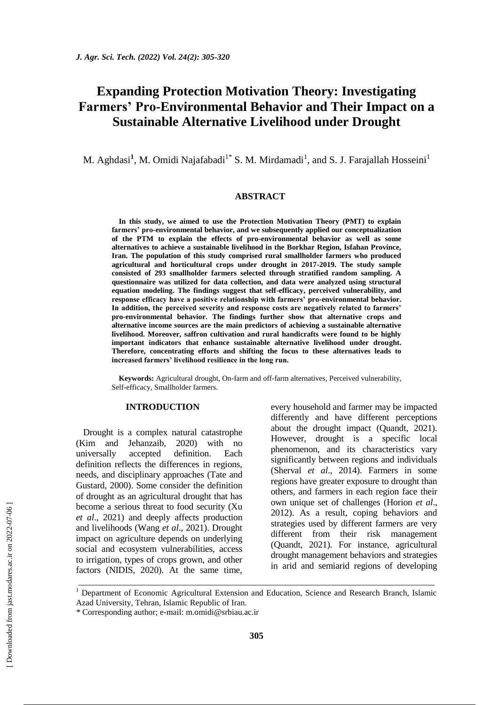# **Expanding Protection Motivation Theory: Investigating Farmers' Pro-Environmental Behavior and Their Impact on a Sustainable Alternative Livelihood under Drought**

M. Aghdasi<sup>1</sup>, M. Omidi Najafabadi<sup>1\*</sup> S. M. Mirdamadi<sup>1</sup>, and S. J. Farajallah Hosseini<sup>1</sup>

### **ABSTRACT**

**In this study, we aimed to use the Protection Motivation Theory (PMT) to explain farmers' pro-environmental behavior, and we subsequently applied our conceptualization of the PTM to explain the effects of pro-environmental behavior as well as some alternatives to achieve a sustainable livelihood in the Borkhar Region, Isfahan Province, Iran. The population of this study comprised rural smallholder farmers who produced agricultural and horticultural crops under drought in 2017-2019. The study sample consisted of 293 smallholder farmers selected through stratified random sampling. A questionnaire was utilized for data collection, and data were analyzed using structural equation modeling. The findings suggest that self-efficacy, perceived vulnerability, and response efficacy have a positive relationship with farmers' pro-environmental behavior. In addition, the perceived severity and response costs are negatively related to farmers' pro-environmental behavior. The findings further show that alternative crops and alternative income sources are the main predictors of achieving a sustainable alternative livelihood. Moreover, saffron cultivation and rural handicrafts were found to be highly important indicators that enhance sustainable alternative livelihood under drought. Therefore, concentrating efforts and shifting the focus to these alternatives leads to increased farmers' livelihood resilience in the long run.**

**Keywords:** Agricultural drought, On-farm and off-farm alternatives, Perceived vulnerability, Self-efficacy, Smallholder farmers.

# **INTRODUCTION**

Drought is a complex natural catastrophe (Kim and Jehanzaib, 2020) with no universally accepted definition. Each definition reflects the differences in regions, needs, and disciplinary approaches (Tate and Gustard, 2000). Some consider the definition of drought as an agricultural drought that has become a serious threat to food security (Xu *et al*., 2021) and deeply affects production and livelihoods (Wang *et al*., 2021). Drought impact on agriculture depends on underlying social and ecosystem vulnerabilities, access to irrigation, types of crops grown, and other factors (NIDIS, 2020). At the same time, every household and farmer may be impacted differently and have different perceptions about the drought impact (Quandt, 2021). However, drought is a specific local phenomenon, and its characteristics vary significantly between regions and individuals (Sherval *et al*., 2014). Farmers in some regions have greater exposure to drought than others, and farmers in each region face their own unique set of challenges (Horion *et al*., 2012). As a result, coping behaviors and strategies used by different farmers are very different from their risk management (Quandt, 2021). For instance, agricultural drought management behaviors and strategies in arid and semiarid regions of developing

\_\_\_\_\_\_\_\_\_\_\_\_\_\_\_\_\_\_\_\_\_\_\_\_\_\_\_\_\_\_\_\_\_\_\_\_\_\_\_\_\_\_\_\_\_\_\_\_\_\_\_\_\_\_\_\_\_\_\_\_\_\_\_\_\_\_\_\_\_\_\_\_\_\_\_\_\_ <sup>1</sup> Department of Economic Agricultural Extension and Education, Science and Research Branch, Islamic

Azad University, Tehran, Islamic Republic of Iran.

*<sup>\*</sup>* Corresponding author; e-mail: [m.omidi@srbiau.ac.ir](mailto:m.omidi@srbiau.ac.ir)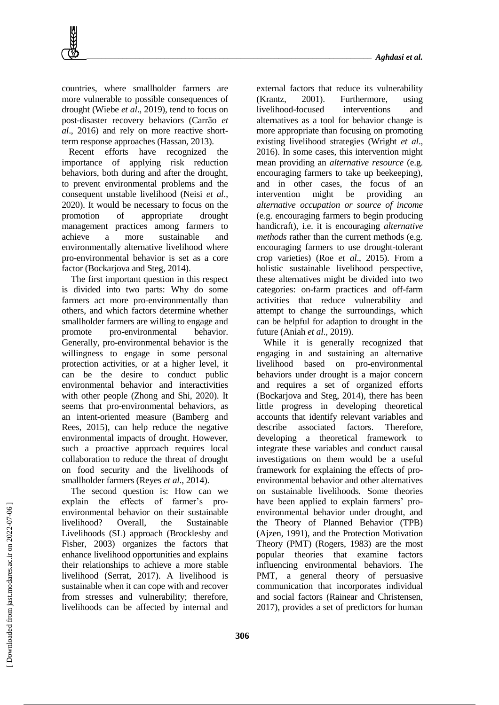countries, where smallholder farmers are more vulnerable to possible consequences of drought (Wiebe *et al*., 2019), tend to focus on post-disaster recovery behaviors (Carrão *et al*., 2016) and rely on more reactive shortterm response approaches (Hassan, 2013).

Recent efforts have recognized the importance of applying risk reduction behaviors, both during and after the drought, to prevent environmental problems and the consequent unstable livelihood (Neisi *et al*., 2020). It would be necessary to focus on the promotion of appropriate drought management practices among farmers to achieve a more sustainable and environmentally alternative livelihood where pro-environmental behavior is set as a core factor (Bockarjova and Steg, 2014).

The first important question in this respect is divided into two parts: Why do some farmers act more pro-environmentally than others, and which factors determine whether smallholder farmers are willing to engage and promote pro-environmental behavior. Generally, pro-environmental behavior is the willingness to engage in some personal protection activities, or at a higher level, it can be the desire to conduct public environmental behavior and interactivities with other people (Zhong and Shi, 2020). It seems that pro-environmental behaviors, as an intent-oriented measure (Bamberg and Rees, 2015), can help reduce the negative environmental impacts of drought. However, such a proactive approach requires local collaboration to reduce the threat of drought on food security and the livelihoods of smallholder farmers (Reyes *et al*., 2014).

The second question is: How can we explain the effects of farmer's proenvironmental behavior on their sustainable livelihood? Overall, the Sustainable Livelihoods (SL) approach (Brocklesby and Fisher, 2003) organizes the factors that enhance livelihood opportunities and explains their relationships to achieve a more stable livelihood (Serrat, 2017). A livelihood is sustainable when it can cope with and recover from stresses and vulnerability; therefore, livelihoods can be affected by internal and

external factors that reduce its vulnerability (Krantz, 2001). Furthermore, using livelihood-focused interventions and alternatives as a tool for behavior change is more appropriate than focusing on promoting existing livelihood strategies (Wright *et al*., 2016). In some cases, this intervention might mean providing an *alternative resource* (e.g. encouraging farmers to take up beekeeping), and in other cases, the focus of an intervention might be providing an *alternative occupation or source of income* (e.g. encouraging farmers to begin producing handicraft), i.e. it is encouraging *alternative methods* rather than the current methods (e.g. encouraging farmers to use drought-tolerant crop varieties) (Roe *et al*., 2015). From a holistic sustainable livelihood perspective, these alternatives might be divided into two categories: on-farm practices and off-farm activities that reduce vulnerability and attempt to change the surroundings, which can be helpful for adaption to drought in the future (Aniah *et al*., 2019).

While it is generally recognized that engaging in and sustaining an alternative livelihood based on pro-environmental behaviors under drought is a major concern and requires a set of organized efforts (Bockarjova and Steg, 2014), there has been little progress in developing theoretical accounts that identify relevant variables and describe associated factors. Therefore, developing a theoretical framework to integrate these variables and conduct causal investigations on them would be a useful framework for explaining the effects of proenvironmental behavior and other alternatives on sustainable livelihoods. Some theories have been applied to explain farmers' proenvironmental behavior under drought, and the Theory of Planned Behavior (TPB) (Ajzen, 1991), and the Protection Motivation Theory (PMT) (Rogers, 1983) are the most popular theories that examine factors influencing environmental behaviors. The PMT, a general theory of persuasive communication that incorporates individual and social factors (Rainear and Christensen, 2017), provides a set of predictors for human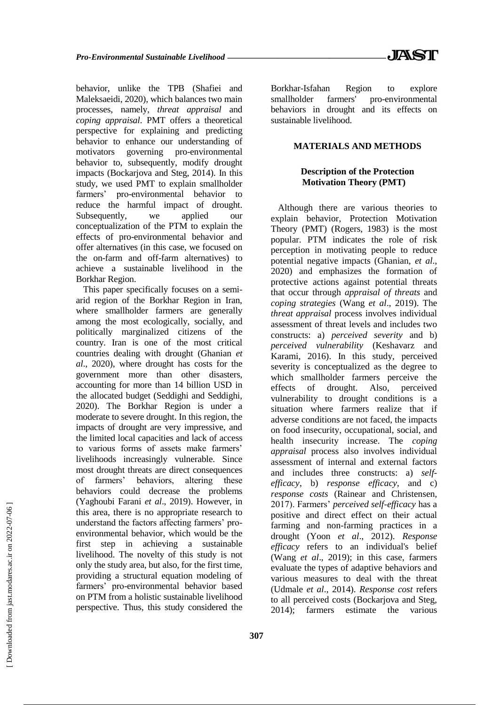behavior, unlike the TPB (Shafiei and Maleksaeidi, 2020), which balances two main processes, namely, *threat appraisal* and *coping appraisal*. PMT offers a theoretical perspective for explaining and predicting behavior to enhance our understanding of motivators governing pro-environmental behavior to, subsequently, modify drought impacts (Bockarjova and Steg, 2014). In this study, we used PMT to explain smallholder farmers' pro-environmental behavior to reduce the harmful impact of drought. Subsequently, we applied our conceptualization of the PTM to explain the effects of pro-environmental behavior and offer alternatives (in this case, we focused on the on-farm and off-farm alternatives) to achieve a sustainable livelihood in the Borkhar Region.

This paper specifically focuses on a semiarid region of the Borkhar Region in Iran, where smallholder farmers are generally among the most ecologically, socially, and politically marginalized citizens of the country. Iran is one of the most critical countries dealing with drought (Ghanian *et al*., 2020), where drought has costs for the government more than other disasters, accounting for more than 14 billion USD in the allocated budget (Seddighi and Seddighi, 2020). The Borkhar Region is under a moderate to severe drought. In this region, the impacts of drought are very impressive, and the limited local capacities and lack of access to various forms of assets make farmers' livelihoods increasingly vulnerable. Since most drought threats are direct consequences of farmers' behaviors, altering these behaviors could decrease the problems (Yaghoubi Farani *et al*., 2019). However, in this area, there is no appropriate research to understand the factors affecting farmers' proenvironmental behavior, which would be the first step in achieving a sustainable livelihood. The novelty of this study is not only the study area, but also, for the first time, providing a structural equation modeling of farmers' pro-environmental behavior based on PTM from a holistic sustainable livelihood perspective. Thus, this study considered the

Borkhar-Isfahan Region to explore smallholder farmers' pro-environmental behaviors in drought and its effects on sustainable livelihood.

# **MATERIALS AND METHODS**

# **Description of the Protection Motivation Theory (PMT)**

Although there are various theories to explain behavior, Protection Motivation Theory (PMT) (Rogers, 1983) is the most popular. PTM indicates the role of risk perception in motivating people to reduce potential negative impacts (Ghanian, *et al*., 2020) and emphasizes the formation of protective actions against potential threats that occur through *appraisal of threats* and *coping strategies* (Wang *et al*., 2019). The *threat appraisal* process involves individual assessment of threat levels and includes two constructs: a) *perceived severity* and b) *perceived vulnerability* (Keshavarz and Karami, 2016). In this study, perceived severity is conceptualized as the degree to which smallholder farmers perceive the effects of drought. Also, perceived vulnerability to drought conditions is a situation where farmers realize that if adverse conditions are not faced, the impacts on food insecurity, occupational, social, and health insecurity increase. The *coping appraisal* process also involves individual assessment of internal and external factors and includes three constructs: a) *selfefficacy*, b) *response efficacy*, and c) *response costs* (Rainear and Christensen, 2017). Farmers' *perceived self-efficacy* has a positive and direct effect on their actual farming and non-farming practices in a drought (Yoon *et al*., 2012). *Response efficacy* refers to an individual's belief (Wang *et al*., 2019); in this case, farmers evaluate the types of adaptive behaviors and various measures to deal with the threat (Udmale *et al*., 2014). *Response cost* refers to all perceived costs (Bockarjova and Steg, 2014); farmers estimate the various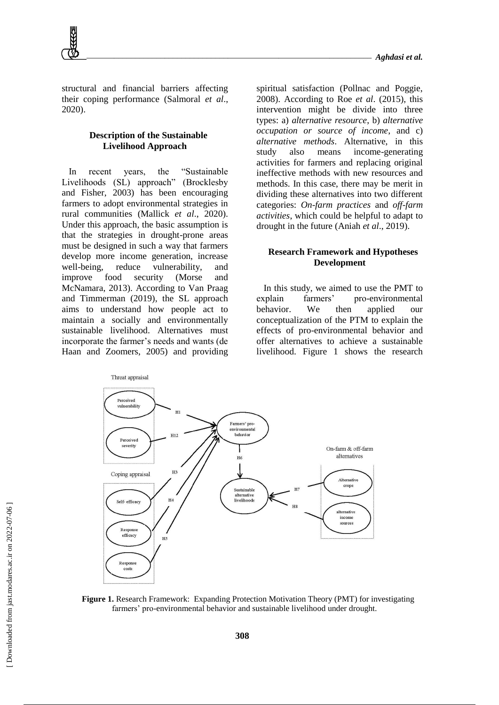structural and financial barriers affecting their coping performance (Salmoral *et al*., 2020).

# **Description of the Sustainable Livelihood Approach**

In recent years, the "Sustainable Livelihoods (SL) approach" (Brocklesby and Fisher, 2003) has been encouraging farmers to adopt environmental strategies in rural communities (Mallick *et al*., 2020). Under this approach, the basic assumption is that the strategies in drought-prone areas must be designed in such a way that farmers develop more income generation, increase well-being, reduce vulnerability, and improve food security (Morse and McNamara, 2013). According to Van Praag and Timmerman (2019), the SL approach aims to understand how people act to maintain a socially and environmentally sustainable livelihood. Alternatives must incorporate the farmer's needs and wants (de Haan and Zoomers, 2005) and providing spiritual satisfaction (Pollnac and Poggie, 2008). According to Roe *et al*. (2015), this intervention might be divide into three types: a) *alternative resource*, b) *alternative occupation or source of income*, and c) *alternative methods*. Alternative, in this study also means income-generating activities for farmers and replacing original ineffective methods with new resources and methods. In this case, there may be merit in dividing these alternatives into two different categories: *On-farm practices* and *off-farm activities*, which could be helpful to adapt to drought in the future (Aniah *et al*., 2019).

# **Research Framework and Hypotheses Development**

In this study, we aimed to use the PMT to explain farmers' pro-environmental behavior. We then applied our conceptualization of the PTM to explain the effects of pro-environmental behavior and offer alternatives to achieve a sustainable livelihood. Figure 1 shows the research



**Figure 1.** Research Framework: Expanding Protection Motivation Theory (PMT) for investigating farmers' pro-environmental behavior and sustainable livelihood under drought.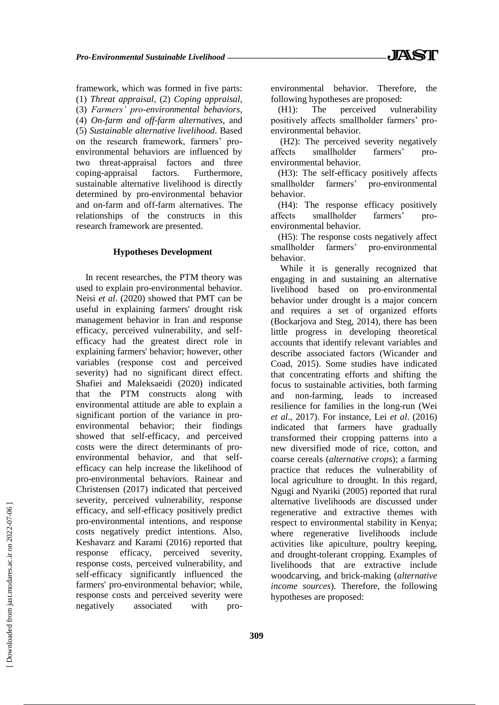framework, which was formed in five parts: (1) *Threat appraisal*, (2) *Coping appraisal*, (3) *Farmers' pro-environmental behaviors*, (4) *On-farm and off-farm alternatives*, and (5) *Sustainable alternative livelihood*. Based on the research framework, farmers' proenvironmental behaviors are influenced by two threat-appraisal factors and three coping-appraisal factors. Furthermore, sustainable alternative livelihood is directly determined by pro-environmental behavior and on-farm and off-farm alternatives. The relationships of the constructs in this research framework are presented.

# **Hypotheses Development**

In recent researches, the PTM theory was used to explain pro-environmental behavior. Neisi *et al*. (2020) showed that PMT can be useful in explaining farmers' drought risk management behavior in Iran and response efficacy, perceived vulnerability, and selfefficacy had the greatest direct role in explaining farmers' behavior; however, other variables (response cost and perceived severity) had no significant direct effect. Shafiei and Maleksaeidi (2020) indicated that the PTM constructs along with environmental attitude are able to explain a significant portion of the variance in proenvironmental behavior; their findings showed that self-efficacy, and perceived costs were the direct determinants of proenvironmental behavior, and that selfefficacy can help increase the likelihood of pro-environmental behaviors. Rainear and Christensen (2017) indicated that perceived severity, perceived vulnerability, response efficacy, and self-efficacy positively predict pro-environmental intentions, and response costs negatively predict intentions. Also, Keshavarz and Karami (2016) reported that response efficacy, perceived severity, response costs, perceived vulnerability, and self-efficacy significantly influenced the farmers' pro-environmental behavior; while, response costs and perceived severity were negatively associated with proenvironmental behavior. Therefore, the following hypotheses are proposed:

(H1): The perceived vulnerability positively affects smallholder farmers' proenvironmental behavior.

(H2): The perceived severity negatively affects smallholder farmers' proenvironmental behavior.

(H3): The self-efficacy positively affects smallholder farmers' pro-environmental behavior.

(H4): The response efficacy positively affects smallholder farmers' proenvironmental behavior.

(H5): The response costs negatively affect smallholder farmers' pro-environmental behavior.

While it is generally recognized that engaging in and sustaining an alternative livelihood based on pro-environmental behavior under drought is a major concern and requires a set of organized efforts (Bockarjova and Steg, 2014), there has been little progress in developing theoretical accounts that identify relevant variables and describe associated factors (Wicander and Coad, 2015). Some studies have indicated that concentrating efforts and shifting the focus to sustainable activities, both farming and non-farming, leads to increased resilience for families in the long-run (Wei *et al*., 2017). For instance, Lei *et al*. (2016) indicated that farmers have gradually transformed their cropping patterns into a new diversified mode of rice, cotton, and coarse cereals (*alternative crops*); a farming practice that reduces the vulnerability of local agriculture to drought. In this regard, Ngugi and Nyariki (2005) reported that rural alternative livelihoods are discussed under regenerative and extractive themes with respect to environmental stability in Kenya; where regenerative livelihoods include activities like apiculture, poultry keeping, and drought-tolerant cropping. Examples of livelihoods that are extractive include woodcarving, and brick-making (*alternative income sources*). Therefore, the following hypotheses are proposed: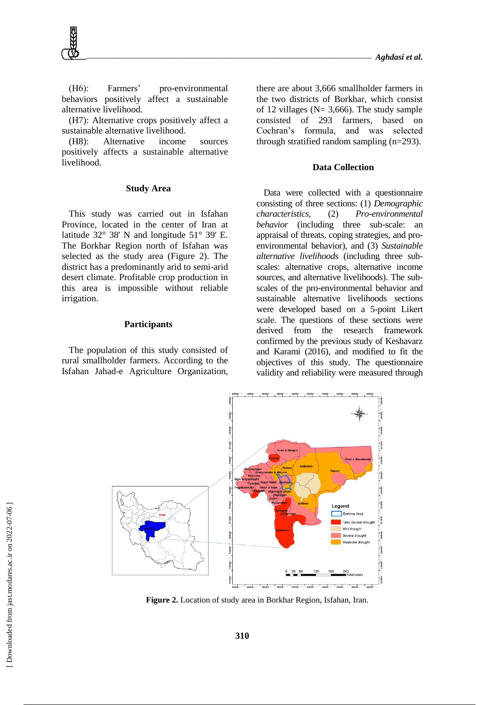(H6): Farmers' pro-environmental behaviors positively affect a sustainable alternative livelihood.

(H7): Alternative crops positively affect a sustainable alternative livelihood.

(H8): Alternative income sources positively affects a sustainable alternative livelihood.

#### **Study Area**

This study was carried out in Isfahan Province, located in the center of Iran at latitude 32° 38' N and longitude 51° 39' E. The Borkhar Region north of Isfahan was selected as the study area (Figure 2). The district has a predominantly arid to semi-arid desert climate. Profitable crop production in this area is impossible without reliable irrigation.

#### **Participants**

The population of this study consisted of rural smallholder farmers. According to the Isfahan Jahad-e Agriculture Organization, there are about 3,666 smallholder farmers in the two districts of Borkhar, which consist of 12 villages ( $N = 3,666$ ). The study sample consisted of 293 farmers, based on Cochran's formula, and was selected through stratified random sampling (n=293).

### **Data Collection**

Data were collected with a questionnaire consisting of three sections: (1) *Demographic characteristics*, (2) *Pro-environmental behavior* (including three sub-scale: an appraisal of threats, coping strategies, and proenvironmental behavior), and (3) *Sustainable alternative livelihoods* (including three subscales: alternative crops, alternative income sources, and alternative livelihoods). The subscales of the pro-environmental behavior and sustainable alternative livelihoods sections were developed based on a 5-point Likert scale. The questions of these sections were derived from the research framework confirmed by the previous study of Keshavarz and Karami (2016), and modified to fit the objectives of this study. The questionnaire validity and reliability were measured through



**Figure 2.** Location of study area in Borkhar Region, Isfahan, Iran.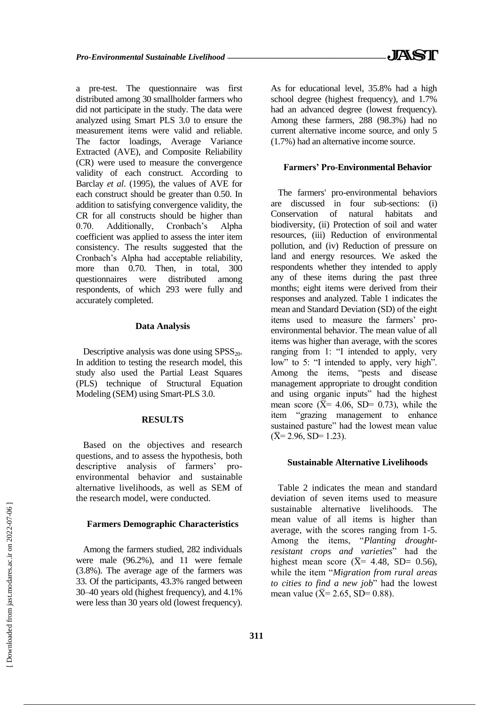a pre-test. The questionnaire was first distributed among 30 smallholder farmers who did not participate in the study. The data were analyzed using Smart PLS 3.0 to ensure the measurement items were valid and reliable. The factor loadings, Average Variance Extracted (AVE), and Composite Reliability (CR) were used to measure the convergence validity of each construct. According to Barclay *et al*. (1995), the values of AVE for each construct should be greater than 0.50. In addition to satisfying convergence validity, the CR for all constructs should be higher than 0.70. Additionally, Cronbach's Alpha coefficient was applied to assess the inter item consistency. The results suggested that the Cronbach's Alpha had acceptable reliability, more than 0.70. Then, in total, 300 questionnaires were distributed among respondents, of which 293 were fully and accurately completed.

### **Data Analysis**

Descriptive analysis was done using  $SPSS_{20}$ . In addition to testing the research model, this study also used the Partial Least Squares (PLS) technique of Structural Equation Modeling (SEM) using Smart-PLS 3.0.

#### **RESULTS**

Based on the objectives and research questions, and to assess the hypothesis, both descriptive analysis of farmers' proenvironmental behavior and sustainable alternative livelihoods, as well as SEM of the research model, were conducted.

#### **Farmers Demographic Characteristics**

Among the farmers studied, 282 individuals were male (96.2%), and 11 were female (3.8%). The average age of the farmers was 33. Of the participants, 43.3% ranged between 30–40 years old (highest frequency), and 4.1% were less than 30 years old (lowest frequency). As for educational level, 35.8% had a high school degree (highest frequency), and 1.7% had an advanced degree (lowest frequency). Among these farmers, 288 (98.3%) had no current alternative income source, and only 5 (1.7%) had an alternative income source.

#### **Farmers' Pro-Environmental Behavior**

The farmers' pro-environmental behaviors are discussed in four sub-sections: (i) Conservation of natural habitats and biodiversity, (ii) Protection of soil and water resources, (iii) Reduction of environmental pollution, and (iv) Reduction of pressure on land and energy resources. We asked the respondents whether they intended to apply any of these items during the past three months; eight items were derived from their responses and analyzed. Table 1 indicates the mean and Standard Deviation (SD) of the eight items used to measure the farmers' proenvironmental behavior. The mean value of all items was higher than average, with the scores ranging from 1: "I intended to apply, very low" to 5: "I intended to apply, very high". Among the items, "pests and disease management appropriate to drought condition and using organic inputs" had the highest mean score ( $\bar{X}$  = 4.06, SD = 0.73), while the item "grazing management to enhance sustained pasture" had the lowest mean value  $(\overline{X} = 2.96, SD = 1.23).$ 

# **Sustainable Alternative Livelihoods**

Table 2 indicates the mean and standard deviation of seven items used to measure sustainable alternative livelihoods. The mean value of all items is higher than average, with the scores ranging from 1-5. Among the items, "*Planting droughtresistant crops and varieties*" had the highest mean score ( $\overline{X}$ = 4.48, SD= 0.56), while the item "*Migration from rural areas to cities to find a new job*" had the lowest mean value ( $\bar{X}$  = 2.65, SD = 0.88).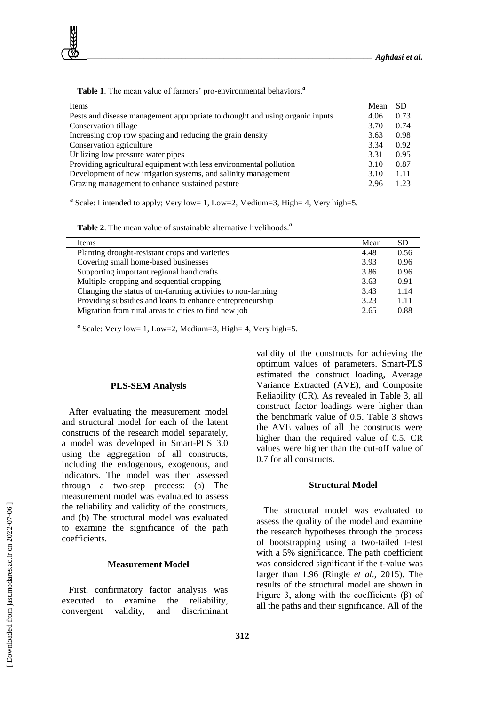

**Table 1**. The mean value of farmers' pro-environmental behaviors.*<sup>a</sup>*

<sup>a</sup> Scale: I intended to apply; Very low= 1, Low=2, Medium=3, High= 4, Very high=5.

**Table 2**. The mean value of sustainable alternative livelihoods.*<sup>a</sup>*

| Mean | <b>SD</b> |
|------|-----------|
| 4.48 | 0.56      |
| 3.93 | 0.96      |
| 3.86 | 0.96      |
| 3.63 | 0.91      |
| 3.43 | 1.14      |
| 3.23 | 1.11      |
| 2.65 | 0.88      |
|      |           |

 $a$  Scale: Very low= 1, Low=2, Medium=3, High= 4, Very high=5.

#### **PLS-SEM Analysis**

After evaluating the measurement model and structural model for each of the latent constructs of the research model separately, a model was developed in Smart-PLS 3.0 using the aggregation of all constructs, including the endogenous, exogenous, and indicators. The model was then assessed through a two-step process: (a) The measurement model was evaluated to assess the reliability and validity of the constructs, and (b) The structural model was evaluated to examine the significance of the path coefficients.

# **Measurement Model**

First, confirmatory factor analysis was executed to examine the reliability, convergent validity, and discriminant validity of the constructs for achieving the optimum values of parameters. Smart-PLS estimated the construct loading, Average Variance Extracted (AVE), and Composite Reliability (CR). As revealed in Table 3, all construct factor loadings were higher than the benchmark value of 0.5. Table 3 shows the AVE values of all the constructs were higher than the required value of 0.5. CR values were higher than the cut-off value of 0.7 for all constructs.

#### **Structural Model**

The structural model was evaluated to assess the quality of the model and examine the research hypotheses through the process of bootstrapping using a two-tailed t-test with a 5% significance. The path coefficient was considered significant if the t-value was larger than 1.96 (Ringle *et al*., 2015). The results of the structural model are shown in Figure 3, along with the coefficients (β) of all the paths and their significance. All of the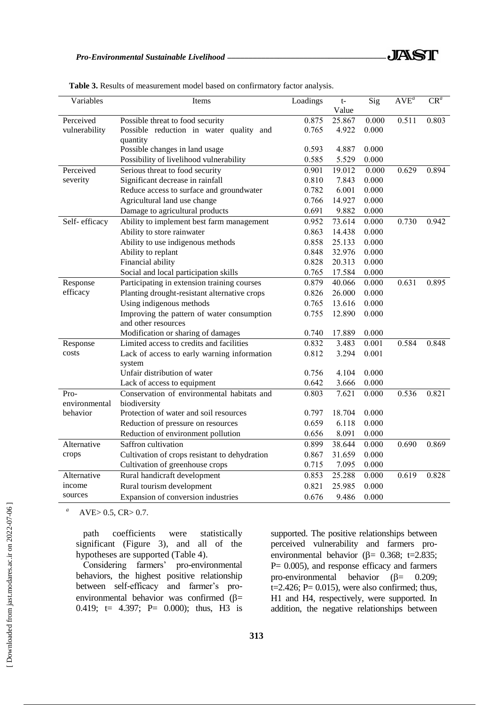| Variables     | Items                                         | Loadings | $t-$   | Sig   | $AVE^{a}$ | $CR^a$ |
|---------------|-----------------------------------------------|----------|--------|-------|-----------|--------|
|               |                                               |          | Value  |       |           |        |
| Perceived     | Possible threat to food security              | 0.875    | 25.867 | 0.000 | 0.511     | 0.803  |
| vulnerability | Possible reduction in water quality and       | 0.765    | 4.922  | 0.000 |           |        |
|               | quantity                                      |          |        |       |           |        |
|               | Possible changes in land usage                | 0.593    | 4.887  | 0.000 |           |        |
|               | Possibility of livelihood vulnerability       | 0.585    | 5.529  | 0.000 |           |        |
| Perceived     | Serious threat to food security               | 0.901    | 19.012 | 0.000 | 0.629     | 0.894  |
| severity      | Significant decrease in rainfall              | 0.810    | 7.843  | 0.000 |           |        |
|               | Reduce access to surface and groundwater      | 0.782    | 6.001  | 0.000 |           |        |
|               | Agricultural land use change                  | 0.766    | 14.927 | 0.000 |           |        |
|               | Damage to agricultural products               | 0.691    | 9.882  | 0.000 |           |        |
| Self-efficacy | Ability to implement best farm management     | 0.952    | 73.614 | 0.000 | 0.730     | 0.942  |
|               | Ability to store rainwater                    | 0.863    | 14.438 | 0.000 |           |        |
|               | Ability to use indigenous methods             | 0.858    | 25.133 | 0.000 |           |        |
|               | Ability to replant                            | 0.848    | 32.976 | 0.000 |           |        |
|               | Financial ability                             | 0.828    | 20.313 | 0.000 |           |        |
|               | Social and local participation skills         | 0.765    | 17.584 | 0.000 |           |        |
| Response      | Participating in extension training courses   | 0.879    | 40.066 | 0.000 | 0.631     | 0.895  |
| efficacy      | Planting drought-resistant alternative crops  | 0.826    | 26.000 | 0.000 |           |        |
|               | Using indigenous methods                      | 0.765    | 13.616 | 0.000 |           |        |
|               | Improving the pattern of water consumption    | 0.755    | 12.890 | 0.000 |           |        |
|               | and other resources                           |          |        |       |           |        |
|               | Modification or sharing of damages            | 0.740    | 17.889 | 0.000 |           |        |
| Response      | Limited access to credits and facilities      | 0.832    | 3.483  | 0.001 | 0.584     | 0.848  |
| costs         | Lack of access to early warning information   | 0.812    | 3.294  | 0.001 |           |        |
|               | system                                        |          |        |       |           |        |
|               | Unfair distribution of water                  | 0.756    | 4.104  | 0.000 |           |        |
|               | Lack of access to equipment                   | 0.642    | 3.666  | 0.000 |           |        |
| Pro-          | Conservation of environmental habitats and    | 0.803    | 7.621  | 0.000 | 0.536     | 0.821  |
| environmental | biodiversity                                  |          |        |       |           |        |
| behavior      | Protection of water and soil resources        | 0.797    | 18.704 | 0.000 |           |        |
|               | Reduction of pressure on resources            | 0.659    | 6.118  | 0.000 |           |        |
|               | Reduction of environment pollution            | 0.656    | 8.091  | 0.000 |           |        |
| Alternative   | Saffron cultivation                           | 0.899    | 38.644 | 0.000 | 0.690     | 0.869  |
| crops         | Cultivation of crops resistant to dehydration | 0.867    | 31.659 | 0.000 |           |        |
|               | Cultivation of greenhouse crops               | 0.715    | 7.095  | 0.000 |           |        |
| Alternative   | Rural handicraft development                  | 0.853    | 25.288 | 0.000 | 0.619     | 0.828  |
| income        | Rural tourism development                     | 0.821    | 25.985 | 0.000 |           |        |
| sources       | Expansion of conversion industries            | 0.676    | 9.486  | 0.000 |           |        |
|               |                                               |          |        |       |           |        |

**Table 3.** Results of measurement model based on confirmatory factor analysis.

*a* AVE $> 0.5$ , CR $> 0.7$ .

> path coefficients were statistically significant (Figure 3), and all of the hypotheses are supported (Table 4).

> Considering farmers' pro-environmental behaviors, the highest positive relationship between self-efficacy and farmer's proenvironmental behavior was confirmed  $(\beta =$ 0.419; t= 4.397; P= 0.000); thus, H3 is

supported. The positive relationships between perceived vulnerability and farmers proenvironmental behavior ( $\beta$ = 0.368; t=2.835; P= 0.005), and response efficacy and farmers pro-environmental behavior  $(\beta = 0.209)$ ;  $t=2.426$ ; P= 0.015), were also confirmed; thus, H1 and H4, respectively, were supported. In addition, the negative relationships between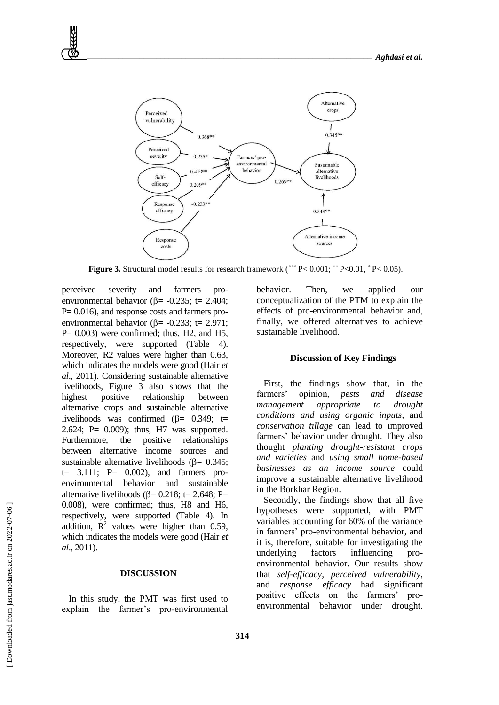

Figure 3. Structural model results for research framework  $(*** P < 0.001; ** P < 0.01, * P < 0.05)$ .

perceived severity and farmers proenvironmental behavior ( $\beta$ = -0.235; t= 2.404; P= 0.016), and response costs and farmers proenvironmental behavior ( $\beta$ = -0.233; t= 2.971;  $P= 0.003$ ) were confirmed; thus, H2, and H5, respectively, were supported (Table 4). Moreover, R2 values were higher than 0.63, which indicates the models were good (Hair *et al*., 2011). Considering sustainable alternative livelihoods, Figure 3 also shows that the highest positive relationship between alternative crops and sustainable alternative livelihoods was confirmed  $(\beta = 0.349; t=$ 2.624; P= 0.009); thus, H7 was supported. Furthermore, the positive relationships between alternative income sources and sustainable alternative livelihoods ( $\beta$  = 0.345;  $t=$  3.111;  $P=$  0.002), and farmers proenvironmental behavior and sustainable alternative livelihoods ( $\beta$ = 0.218; t= 2.648; P= 0.008), were confirmed; thus, H8 and H6, respectively, were supported (Table 4). In addition,  $\mathbf{R}^2$  values were higher than 0.59, which indicates the models were good (Hair *et al*., 2011).

## **DISCUSSION**

In this study, the PMT was first used to explain the farmer's pro-environmental behavior. Then, we applied our conceptualization of the PTM to explain the effects of pro-environmental behavior and, finally, we offered alternatives to achieve sustainable livelihood.

#### **Discussion of Key Findings**

First, the findings show that, in the farmers' opinion, *pests and disease management appropriate to drought conditions and using organic inputs*, and *conservation tillage* can lead to improved farmers' behavior under drought. They also thought *planting drought-resistant crops and varieties* and *using small home-based businesses as an income source* could improve a sustainable alternative livelihood in the Borkhar Region.

Secondly, the findings show that all five hypotheses were supported, with PMT variables accounting for 60% of the variance in farmers' pro-environmental behavior, and it is, therefore, suitable for investigating the underlying factors influencing proenvironmental behavior. Our results show that *self-efficacy*, *perceived vulnerability*, and *response efficacy* had significant positive effects on the farmers' proenvironmental behavior under drought.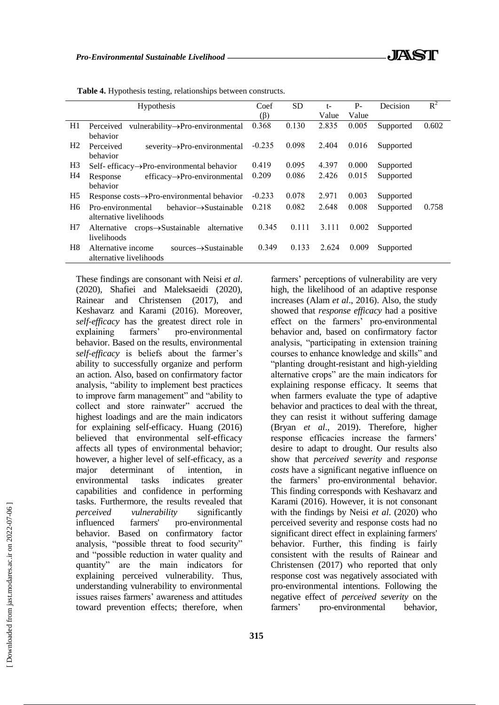٦

| $R^2$ | Decision               |       | $t-$  | SD.   | Coef      | <b>Hypothesis</b>                                                                                                                                                                |                |
|-------|------------------------|-------|-------|-------|-----------|----------------------------------------------------------------------------------------------------------------------------------------------------------------------------------|----------------|
|       |                        | Value | Value |       | $(\beta)$ |                                                                                                                                                                                  |                |
| 0.602 | Supported              | 0.005 | 2.835 | 0.130 | 0.368     | vulnerability->Pro-environmental<br>Perceived                                                                                                                                    | H1             |
|       |                        |       |       |       |           | behavior                                                                                                                                                                         |                |
|       | Supported              | 0.016 | 2.404 | 0.098 | $-0.235$  | Perceived<br>$severity \rightarrow Pro-environmental$                                                                                                                            | H <sub>2</sub> |
|       |                        |       |       |       |           | behavior                                                                                                                                                                         |                |
|       | Supported              | 0.000 | 4.397 | 0.095 | 0.419     | Self- efficacy $\rightarrow$ Pro-environmental behavior                                                                                                                          | H3             |
|       | Supported              | 0.015 | 2.426 | 0.086 | 0.209     |                                                                                                                                                                                  | H4             |
|       |                        |       |       |       |           | behavior                                                                                                                                                                         |                |
|       | Supported              | 0.003 | 2.971 | 0.078 | $-0.233$  | Response $costs \rightarrow Pro-environmental behavior$                                                                                                                          | H5             |
| 0.758 | Supported              | 0.008 | 2.648 | 0.082 | 0.218     | $behaviour \rightarrow$ Sustainable<br>Pro-environmental                                                                                                                         | H <sub>6</sub> |
|       |                        |       |       |       |           | alternative livelihoods                                                                                                                                                          |                |
|       |                        | 0.002 | 3.111 | 0.111 | 0.345     |                                                                                                                                                                                  | H7             |
|       |                        |       |       |       |           | livelihoods                                                                                                                                                                      |                |
|       |                        | 0.009 | 2.624 | 0.133 | 0.349     |                                                                                                                                                                                  | H <sub>8</sub> |
|       |                        |       |       |       |           | alternative livelihoods                                                                                                                                                          |                |
|       | Supported<br>Supported |       |       |       |           | $efficacy \rightarrow Pro-environmental$<br>Response<br>$crops \rightarrow$ Sustainable<br>alternative<br>Alternative<br>$sources \rightarrow$ Sustainable<br>Alternative income |                |

**Table 4.** Hypothesis testing, relationships between constructs.

These findings are consonant with Neisi *et al*. (2020), Shafiei and Maleksaeidi (2020), Rainear and Christensen (2017), and Keshavarz and Karami (2016). Moreover, *self-efficacy* has the greatest direct role in explaining farmers' pro-environmental behavior. Based on the results, environmental *self-efficacy* is beliefs about the farmer's ability to successfully organize and perform an action. Also, based on confirmatory factor analysis, "ability to implement best practices to improve farm management" and "ability to collect and store rainwater" accrued the highest loadings and are the main indicators for explaining self-efficacy. Huang (2016) believed that environmental self-efficacy affects all types of environmental behavior; however, a higher level of self-efficacy, as a major determinant of intention, in environmental tasks indicates greater capabilities and confidence in performing tasks. Furthermore, the results revealed that *perceived vulnerability* significantly influenced farmers' pro-environmental behavior. Based on confirmatory factor analysis, "possible threat to food security" and "possible reduction in water quality and quantity" are the main indicators for explaining perceived vulnerability. Thus, understanding vulnerability to environmental issues raises farmers' awareness and attitudes toward prevention effects; therefore, when

farmers' perceptions of vulnerability are very high, the likelihood of an adaptive response increases (Alam *et al*., 2016). Also, the study showed that *response efficacy* had a positive effect on the farmers' pro-environmental behavior and, based on confirmatory factor analysis, "participating in extension training courses to enhance knowledge and skills" and "planting drought-resistant and high-yielding alternative crops" are the main indicators for explaining response efficacy. It seems that when farmers evaluate the type of adaptive behavior and practices to deal with the threat, they can resist it without suffering damage (Bryan *et al*., 2019). Therefore, higher response efficacies increase the farmers' desire to adapt to drought. Our results also show that *perceived severity* and *response costs* have a significant negative influence on the farmers' pro-environmental behavior. This finding corresponds with Keshavarz and Karami (2016). However, it is not consonant with the findings by Neisi *et al*. (2020) who perceived severity and response costs had no significant direct effect in explaining farmers' behavior. Further, this finding is fairly consistent with the results of Rainear and Christensen (2017) who reported that only response cost was negatively associated with pro-environmental intentions. Following the negative effect of *perceived severity* on the farmers' pro-environmental behavior,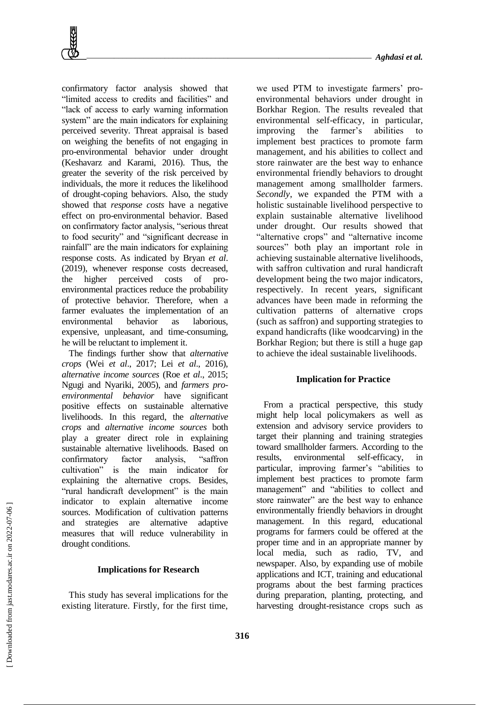confirmatory factor analysis showed that "limited access to credits and facilities" and "lack of access to early warning information system" are the main indicators for explaining perceived severity. Threat appraisal is based on weighing the benefits of not engaging in pro-environmental behavior under drought (Keshavarz and Karami, 2016). Thus, the greater the severity of the risk perceived by individuals, the more it reduces the likelihood of drought-coping behaviors. Also, the study showed that *response costs* have a negative effect on pro-environmental behavior. Based on confirmatory factor analysis, "serious threat to food security" and "significant decrease in rainfall" are the main indicators for explaining response costs. As indicated by Bryan *et al*. (2019), whenever response costs decreased, the higher perceived costs of proenvironmental practices reduce the probability of protective behavior. Therefore, when a farmer evaluates the implementation of an environmental behavior as laborious, expensive, unpleasant, and time-consuming, he will be reluctant to implement it.

The findings further show that *alternative crops* (Wei *et al*., 2017; Lei *et al*., 2016), *alternative income sources* (Roe *et al*., 2015; Ngugi and Nyariki, 2005), and *farmers proenvironmental behavior* have significant positive effects on sustainable alternative livelihoods. In this regard, the *alternative crops* and *alternative income sources* both play a greater direct role in explaining sustainable alternative livelihoods. Based on confirmatory factor analysis, "saffron cultivation" is the main indicator for explaining the alternative crops. Besides, "rural handicraft development" is the main indicator to explain alternative income sources. Modification of cultivation patterns and strategies are alternative adaptive measures that will reduce vulnerability in drought conditions.

# **Implications for Research**

This study has several implications for the existing literature. Firstly, for the first time, we used PTM to investigate farmers' proenvironmental behaviors under drought in Borkhar Region. The results revealed that environmental self-efficacy, in particular, improving the farmer's abilities to implement best practices to promote farm management, and his abilities to collect and store rainwater are the best way to enhance environmental friendly behaviors to drought management among smallholder farmers. *Secondly*, we expanded the PTM with a holistic sustainable livelihood perspective to explain sustainable alternative livelihood under drought. Our results showed that "alternative crops" and "alternative income sources" both play an important role in achieving sustainable alternative livelihoods, with saffron cultivation and rural handicraft development being the two major indicators, respectively. In recent years, significant advances have been made in reforming the cultivation patterns of alternative crops (such as saffron) and supporting strategies to expand handicrafts (like woodcarving) in the Borkhar Region; but there is still a huge gap to achieve the ideal sustainable livelihoods.

# **Implication for Practice**

From a practical perspective, this study might help local policymakers as well as extension and advisory service providers to target their planning and training strategies toward smallholder farmers. According to the results, environmental self-efficacy, in particular, improving farmer's "abilities to implement best practices to promote farm management" and "abilities to collect and store rainwater" are the best way to enhance environmentally friendly behaviors in drought management. In this regard, educational programs for farmers could be offered at the proper time and in an appropriate manner by local media, such as radio, TV, and newspaper. Also, by expanding use of mobile applications and ICT, training and educational programs about the best farming practices during preparation, planting, protecting, and harvesting drought-resistance crops such as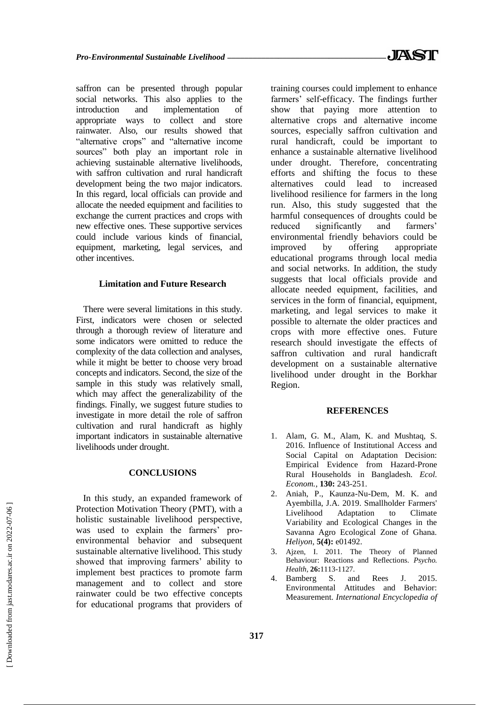saffron can be presented through popular social networks. This also applies to the introduction and implementation of appropriate ways to collect and store rainwater. Also, our results showed that "alternative crops" and "alternative income sources" both play an important role in achieving sustainable alternative livelihoods, with saffron cultivation and rural handicraft development being the two major indicators. In this regard, local officials can provide and allocate the needed equipment and facilities to exchange the current practices and crops with new effective ones. These supportive services could include various kinds of financial, equipment, marketing, legal services, and other incentives.

### **Limitation and Future Research**

There were several limitations in this study. First, indicators were chosen or selected through a thorough review of literature and some indicators were omitted to reduce the complexity of the data collection and analyses, while it might be better to choose very broad concepts and indicators. Second, the size of the sample in this study was relatively small, which may affect the generalizability of the findings. Finally, we suggest future studies to investigate in more detail the role of saffron cultivation and rural handicraft as highly important indicators in sustainable alternative livelihoods under drought.

# **CONCLUSIONS**

In this study, an expanded framework of Protection Motivation Theory (PMT), with a holistic sustainable livelihood perspective, was used to explain the farmers' proenvironmental behavior and subsequent sustainable alternative livelihood. This study showed that improving farmers' ability to implement best practices to promote farm management and to collect and store rainwater could be two effective concepts for educational programs that providers of training courses could implement to enhance farmers' self-efficacy. The findings further show that paying more attention to alternative crops and alternative income sources, especially saffron cultivation and rural handicraft, could be important to enhance a sustainable alternative livelihood under drought. Therefore, concentrating efforts and shifting the focus to these alternatives could lead to increased livelihood resilience for farmers in the long run. Also, this study suggested that the harmful consequences of droughts could be reduced significantly and farmers' environmental friendly behaviors could be improved by offering appropriate educational programs through local media and social networks. In addition, the study suggests that local officials provide and allocate needed equipment, facilities, and services in the form of financial, equipment, marketing, and legal services to make it possible to alternate the older practices and crops with more effective ones. Future research should investigate the effects of saffron cultivation and rural handicraft development on a sustainable alternative livelihood under drought in the Borkhar Region.

# **REFERENCES**

- 1. Alam, G. M., Alam, K. and Mushtaq, S. 2016. Influence of Institutional Access and Social Capital on Adaptation Decision: Empirical Evidence from Hazard-Prone Rural Households in Bangladesh. *Ecol. Econom.*, **130:** 243-251.
- 2. Aniah, P., Kaunza-Nu-Dem, M. K. and Ayembilla, J.A. 2019. Smallholder Farmers' Livelihood Adaptation to Climate Variability and Ecological Changes in the Savanna Agro Ecological Zone of Ghana. *Heliyon*, **5(4):** e01492.
- 3. Ajzen, I. 2011. The Theory of Planned Behaviour: Reactions and Reflections. *Psycho. Health*, **26:**1113-1127.
- 4. Bamberg S. and Rees J. 2015. Environmental Attitudes and Behavior: Measurement. *International Encyclopedia of*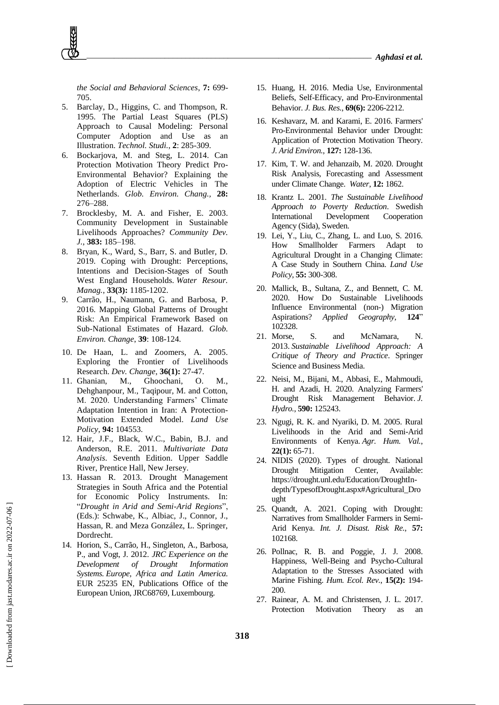*the Social and Behavioral Sciences*, **7:** 699- 705.

- 5. Barclay, D., Higgins, C. and Thompson, R. 1995. The Partial Least Squares (PLS) Approach to Causal Modeling: Personal Computer Adoption and Use as an Illustration. *Technol. Studi.*, **2**: 285-309.
- 6. Bockarjova, M. and Steg, L. 2014. Can Protection Motivation Theory Predict Pro-Environmental Behavior? Explaining the Adoption of Electric Vehicles in The Netherlands. *Glob. Environ. Chang.,* **28:** 276–288.
- 7. Brocklesby, M. A. and Fisher, E. 2003. Community Development in Sustainable Livelihoods Approaches? *Community Dev. J.*, **383:** 185–198.
- 8. Bryan, K., Ward, S., Barr, S. and Butler, D. 2019. Coping with Drought: Perceptions, Intentions and Decision-Stages of South West England Households. *Water Resour. Manag.*, **33(3):** 1185-1202.
- 9. Carrão, H., Naumann, G. and Barbosa, P. 2016. Mapping Global Patterns of Drought Risk: An Empirical Framework Based on Sub-National Estimates of Hazard. *Glob. Environ. Change*, **39**: 108-124.
- 10. De Haan, L. and Zoomers, A. 2005. Exploring the Frontier of Livelihoods Research. *Dev. Change*, **36(1):** 27-47.
- 11. Ghanian, M., Ghoochani, O. M., Dehghanpour, M., Taqipour, M. and Cotton, M. 2020. Understanding Farmers' Climate Adaptation Intention in Iran: A Protection-Motivation Extended Model. *Land Use Policy*, **94:** 104553.
- 12. Hair, J.F., Black, W.C., Babin, B.J. and Anderson, R.E. 2011. *Multivariate Data Analysis*. Seventh Edition. Upper Saddle River, Prentice Hall, New Jersey.
- 13. Hassan R. 2013. Drought Management Strategies in South Africa and the Potential for Economic Policy Instruments. In: "*Drought in Arid and Semi-Arid Regions*", (Eds.): Schwabe, K., Albiac, J., Connor, J., Hassan, R. and Meza González, L. Springer, Dordrecht.
- 14. Horion, S., Carrão, H., Singleton, A., Barbosa, P., and Vogt, J. 2012. *JRC Experience on the Development of Drought Information Systems. Europe, Africa and Latin America.*  EUR 25235 EN, Publications Office of the European Union, JRC68769, Luxembourg.
- 15. Huang, H. 2016. Media Use, Environmental Beliefs, Self-Efficacy, and Pro-Environmental Behavior. *J. Bus. Res.*, **69(6):** 2206-2212.
- 16. Keshavarz, M. and Karami, E. 2016. Farmers' Pro-Environmental Behavior under Drought: Application of Protection Motivation Theory. *J. Arid Environ.*, **127:** 128-136.
- 17. Kim, T. W. and Jehanzaib, M. 2020. Drought Risk Analysis, Forecasting and Assessment under Climate Change. *Water*, **12:** 1862.
- 18. Krantz L. 2001. *The Sustainable Livelihood Approach to Poverty Reduction*. Swedish International Development Cooperation Agency (Sida), Sweden.
- 19. Lei, Y., Liu, C., Zhang, L. and Luo, S. 2016. How Smallholder Farmers Adapt to Agricultural Drought in a Changing Climate: A Case Study in Southern China. *Land Use Policy*, **55:** 300-308.
- 20. Mallick, B., Sultana, Z., and Bennett, C. M. 2020. How Do Sustainable Livelihoods Influence Environmental (non-) Migration Aspirations? *Applied Geography*, **124**" 102328.
- 21. Morse, S. and McNamara, N. 2013. *Sustainable Livelihood Approach: A Critique of Theory and Practice*. Springer Science and Business Media.
- 22. Neisi, M., Bijani, M., Abbasi, E., Mahmoudi, H. and Azadi, H. 2020. Analyzing Farmers' Drought Risk Management Behavior. *J. Hydro.*, **590:** 125243.
- 23. Ngugi, R. K. and Nyariki, D. M. 2005. Rural Livelihoods in the Arid and Semi-Arid Environments of Kenya. *Agr. Hum. Val.*, **22(1):** 65-71.
- 24. NIDIS (2020). Types of drought. National Drought Mitigation Center, Available: https://drought.unl.edu/Education/DroughtIndepth/TypesofDrought.aspx#Agricultural\_Dro ught
- 25. Quandt, A. 2021. Coping with Drought: Narratives from Smallholder Farmers in Semi-Arid Kenya. *Int. J. Disast. Risk Re.*, **57:** 102168.
- 26. Pollnac, R. B. and Poggie, J. J. 2008. Happiness, Well-Being and Psycho-Cultural Adaptation to the Stresses Associated with Marine Fishing. *Hum. Ecol. Rev.*, **15(2):** 194- 200.
- 27. Rainear, A. M. and Christensen, J. L. 2017. Protection Motivation Theory as an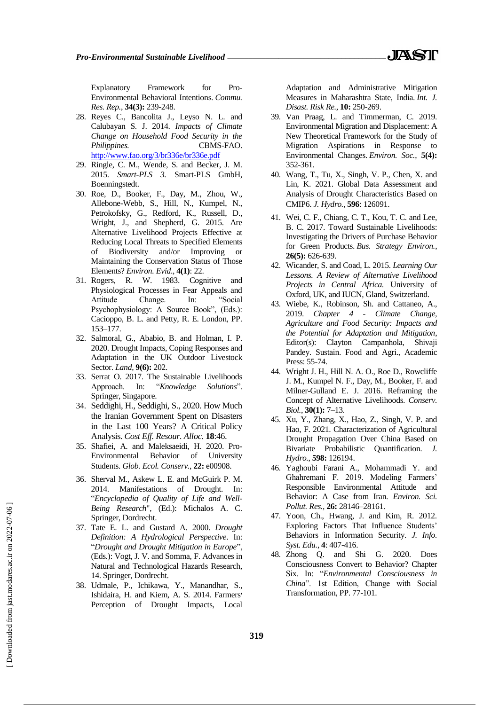Explanatory Framework for Pro-Environmental Behavioral Intentions. *Commu. Res. Rep.*, **34(3):** 239-248.

- 28. Reyes C., Bancolita J., Leyso N. L. and Calubayan S. J. 2014. *Impacts of Climate Change on Household Food Security in the Philippines.* CBMS-FAO. <http://www.fao.org/3/br336e/br336e.pdf>
- 29. Ringle, C. M., Wende, S. and Becker, J. M. 2015. *Smart-PLS 3.* Smart-PLS GmbH, Boenningstedt.
- 30. Roe, D., Booker, F., Day, M., Zhou, W., Allebone-Webb, S., Hill, N., Kumpel, N., Petrokofsky, G., Redford, K., Russell, D., Wright, J., and Shepherd, G. 2015. Are Alternative Livelihood Projects Effective at Reducing Local Threats to Specified Elements of Biodiversity and/or Improving or Maintaining the Conservation Status of Those Elements? *Environ. Evid*., **4(1)**: 22.
- 31. Rogers, R. W. 1983. Cognitive and Physiological Processes in Fear Appeals and Attitude Change. In: "Social Psychophysiology: A Source Book", (Eds.): Cacioppo, B. L. and Petty, R. E. London, PP. 153–177.
- 32. Salmoral, G., Ababio, B. and Holman, I. P. 2020. Drought Impacts, Coping Responses and Adaptation in the UK Outdoor Livestock Sector. *Land*, **9(6):** 202.
- 33. Serrat O. 2017. The Sustainable Livelihoods Approach. In: "*Knowledge Solutions*". Springer, Singapore.
- 34. Seddighi, H., Seddighi, S., 2020. How Much the Iranian Government Spent on Disasters in the Last 100 Years? A Critical Policy Analysis. *Cost Eff. Resour. Alloc.* **18**:46.
- 35. Shafiei, A. and Maleksaeidi, H. 2020. Pro-Environmental Behavior of University Students. *Glob. Ecol. Conserv.*, **22:** e00908.
- 36. Sherval M., Askew L. E. and McGuirk P. M. 2014. Manifestations of Drought. In: "*Encyclopedia of Quality of Life and Well-Being Research*", (Ed.): Michalos A. C. Springer, Dordrecht.
- 37. Tate E. L. and Gustard A. 2000. *Drought Definition: A Hydrological Perspective*. In: "*Drought and Drought Mitigation in Europe*", (Eds.): Vogt, J. V. and Somma, F. Advances in Natural and Technological Hazards Research, 14. Springer, Dordrecht.
- 38. Udmale, P., Ichikawa, Y., Manandhar, S., Ishidaira, H. and Kiem, A. S. 2014. Farmers׳ Perception of Drought Impacts, Local

Adaptation and Administrative Mitigation Measures in Maharashtra State, India. *Int. J. Disast. Risk Re.*, **10:** 250-269.

- 39. Van Praag, L. and Timmerman, C. 2019. Environmental Migration and Displacement: A New Theoretical Framework for the Study of Migration Aspirations in Response to Environmental Changes. *Environ. Soc.*, **5(4):** 352-361.
- 40. Wang, T., Tu, X., Singh, V. P., Chen, X. and Lin, K. 2021. Global Data Assessment and Analysis of Drought Characteristics Based on CMIP6. *J. Hydro.*, **596**: 126091.
- 41. Wei, C. F., Chiang, C. T., Kou, T. C. and Lee, B. C. 2017. Toward Sustainable Livelihoods: Investigating the Drivers of Purchase Behavior for Green Products. *Bus. Strategy Environ.*, **26(5):** 626-639.
- 42. Wicander, S. and Coad, L. 2015. *Learning Our Lessons. A Review of Alternative Livelihood Projects in Central Africa.* University of Oxford, UK, and IUCN, Gland, Switzerland.
- 43. Wiebe, K., Robinson, Sh. and Cattaneo, A., 2019. *Chapter 4 - Climate Change, Agriculture and Food Security: Impacts and the Potential for Adaptation and Mitigation*, Editor(s): Clayton Campanhola, Shivaji Pandey. Sustain. Food and Agri., Academic Press: 55-74.
- 44. Wright J. H., Hill N. A. O., Roe D., Rowcliffe J. M., Kumpel N. F., Day, M., Booker, F. and Milner-Gulland E. J. 2016. Reframing the Concept of Alternative Livelihoods. *Conserv. Biol.*, **30(1):** 7–13.
- 45. Xu, Y., Zhang, X., Hao, Z., Singh, V. P. and Hao, F. 2021. Characterization of Agricultural Drought Propagation Over China Based on Bivariate Probabilistic Quantification. *Hydro.*, **598:** 126194.
- 46. Yaghoubi Farani A., Mohammadi Y. and Ghahremani F. 2019. Modeling Farmers' Responsible Environmental Attitude and Behavior: A Case from Iran. *Environ. Sci. Pollut. Res.*, **26:** 28146–28161.
- 47. Yoon, Ch., Hwang, J. and Kim, R. 2012. Exploring Factors That Influence Students' Behaviors in Information Security. *J. Info. Syst. Edu.*, **4**: 407-416.
- 48. Zhong Q. and Shi G. 2020. Does Consciousness Convert to Behavior? Chapter Six. In: "*Environmental Consciousness in China*". 1st Edition, Change with Social Transformation, PP. 77-101.